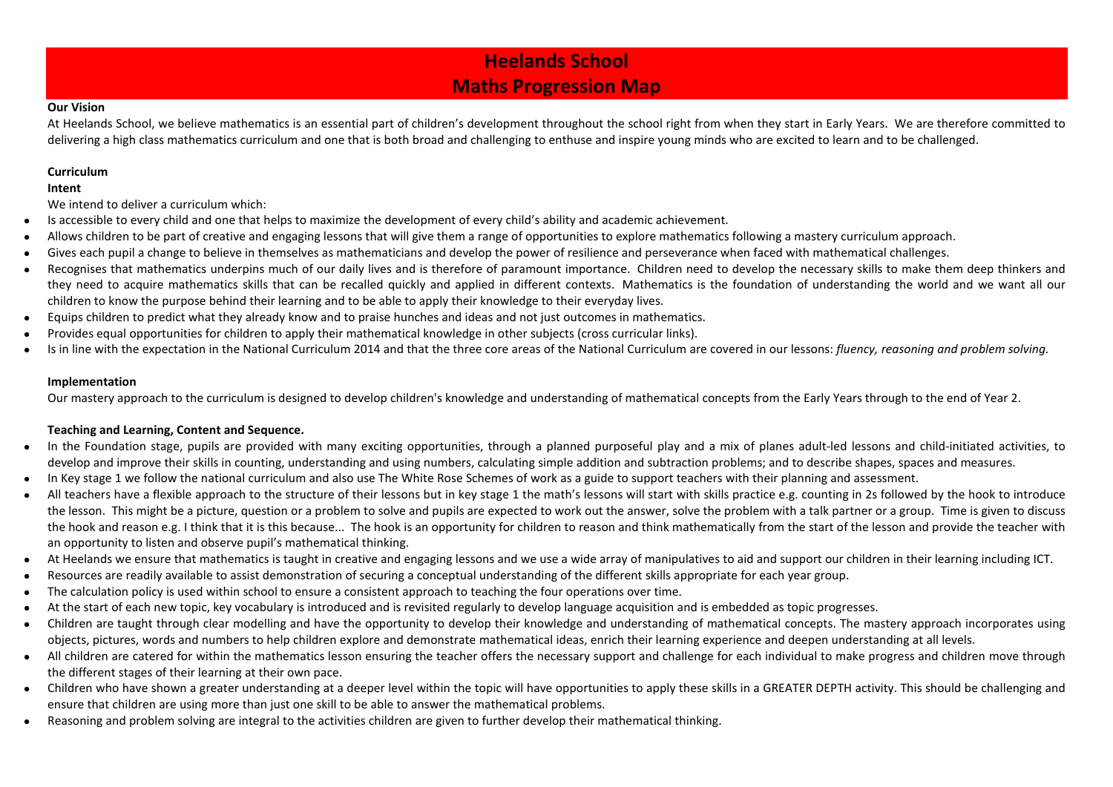## **Heelands School Maths Progression Map**

#### **Our Vision**

At Heelands School, we believe mathematics is an essential part of children's development throughout the school right from when they start in Early Years. We are therefore committed to delivering a high class mathematics curriculum and one that is both broad and challenging to enthuse and inspire young minds who are excited to learn and to be challenged.

#### **Curriculum**

#### **Intent**

We intend to deliver a curriculum which:

- Is accessible to every child and one that helps to maximize the development of every child's ability and academic achievement.
- Allows children to be part of creative and engaging lessons that will give them a range of opportunities to explore mathematics following a mastery curriculum approach.
- Gives each pupil a change to believe in themselves as mathematicians and develop the power of resilience and perseverance when faced with mathematical challenges.
- Recognises that mathematics underpins much of our daily lives and is therefore of paramount importance. Children need to develop the necessary skills to make them deep thinkers and they need to acquire mathematics skills that can be recalled quickly and applied in different contexts. Mathematics is the foundation of understanding the world and we want all our children to know the purpose behind their learning and to be able to apply their knowledge to their everyday lives.
- Equips children to predict what they already know and to praise hunches and ideas and not just outcomes in mathematics.
- Provides equal opportunities for children to apply their mathematical knowledge in other subjects (cross curricular links).
- Is in line with the expectation in the National Curriculum 2014 and that the three core areas of the National Curriculum are covered in our lessons: *fluency, reasoning and problem solving.*

#### **Implementation**

Our mastery approach to the curriculum is designed to develop children's knowledge and understanding of mathematical concepts from the Early Years through to the end of Year 2.

### **Teaching and Learning, Content and Sequence.**

- In the Foundation stage, pupils are provided with many exciting opportunities, through a planned purposeful play and a mix of planes adult-led lessons and child-initiated activities, to develop and improve their skills in counting, understanding and using numbers, calculating simple addition and subtraction problems; and to describe shapes, spaces and measures.
- In Key stage 1 we follow the national curriculum and also use The White Rose Schemes of work as a guide to support teachers with their planning and assessment.
- All teachers have a flexible approach to the structure of their lessons but in key stage 1 the math's lessons will start with skills practice e.g. counting in 2s followed by the hook to introduce the lesson. This might be a picture, question or a problem to solve and pupils are expected to work out the answer, solve the problem with a talk partner or a group. Time is given to discuss the hook and reason e.g. I think that it is this because... The hook is an opportunity for children to reason and think mathematically from the start of the lesson and provide the teacher with an opportunity to listen and observe pupil's mathematical thinking.
- At Heelands we ensure that mathematics is taught in creative and engaging lessons and we use a wide array of manipulatives to aid and support our children in their learning including ICT.
- Resources are readily available to assist demonstration of securing a conceptual understanding of the different skills appropriate for each year group.
- The calculation policy is used within school to ensure a consistent approach to teaching the four operations over time.
- At the start of each new topic, key vocabulary is introduced and is revisited regularly to develop language acquisition and is embedded as topic progresses.
- Children are taught through clear modelling and have the opportunity to develop their knowledge and understanding of mathematical concepts. The mastery approach incorporates using objects, pictures, words and numbers to help children explore and demonstrate mathematical ideas, enrich their learning experience and deepen understanding at all levels.
- All children are catered for within the mathematics lesson ensuring the teacher offers the necessary support and challenge for each individual to make progress and children move through the different stages of their learning at their own pace.
- Children who have shown a greater understanding at a deeper level within the topic will have opportunities to apply these skills in a GREATER DEPTH activity. This should be challenging and ensure that children are using more than just one skill to be able to answer the mathematical problems.
- Reasoning and problem solving are integral to the activities children are given to further develop their mathematical thinking.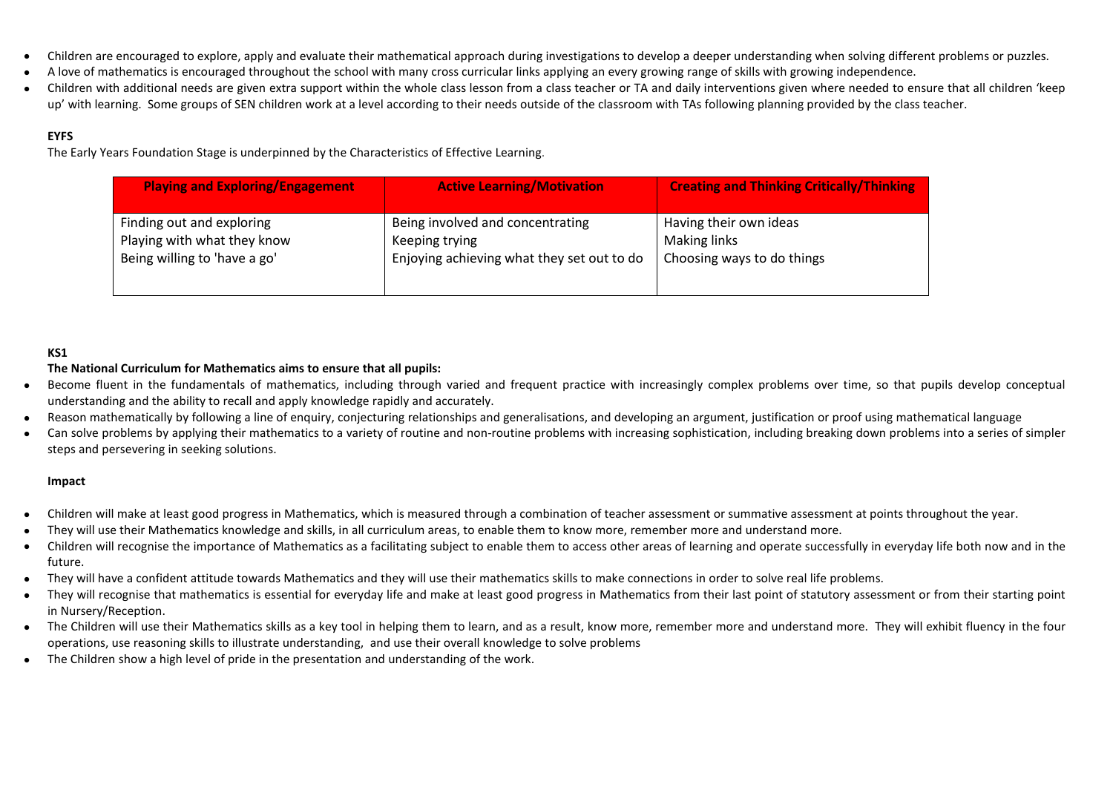- Children are encouraged to explore, apply and evaluate their mathematical approach during investigations to develop a deeper understanding when solving different problems or puzzles.
- A love of mathematics is encouraged throughout the school with many cross curricular links applying an every growing range of skills with growing independence.
- Children with additional needs are given extra support within the whole class lesson from a class teacher or TA and daily interventions given where needed to ensure that all children 'keep up' with learning. Some groups of SEN children work at a level according to their needs outside of the classroom with TAs following planning provided by the class teacher.

#### **EYFS**

The Early Years Foundation Stage is underpinned by the Characteristics of Effective Learning.

| <b>Playing and Exploring/Engagement</b> | <b>Active Learning/Motivation</b>          | <b>Creating and Thinking Critically/Thinking</b> |
|-----------------------------------------|--------------------------------------------|--------------------------------------------------|
| Finding out and exploring               | Being involved and concentrating           | Having their own ideas                           |
| Playing with what they know             | Keeping trying                             | <b>Making links</b>                              |
| Being willing to 'have a go'            | Enjoying achieving what they set out to do | Choosing ways to do things                       |

#### **KS1**

#### **The National Curriculum for Mathematics aims to ensure that all pupils:**

- Become fluent in the fundamentals of mathematics, including through varied and frequent practice with increasingly complex problems over time, so that pupils develop conceptual understanding and the ability to recall and apply knowledge rapidly and accurately.
- Reason mathematically by following a line of enquiry, conjecturing relationships and generalisations, and developing an argument, justification or proof using mathematical language
- Can solve problems by applying their mathematics to a variety of routine and non-routine problems with increasing sophistication, including breaking down problems into a series of simpler steps and persevering in seeking solutions.

#### **Impact**

- Children will make at least good progress in Mathematics, which is measured through a combination of teacher assessment or summative assessment at points throughout the year.
- They will use their Mathematics knowledge and skills, in all curriculum areas, to enable them to know more, remember more and understand more.
- Children will recognise the importance of Mathematics as a facilitating subject to enable them to access other areas of learning and operate successfully in everyday life both now and in the future.
- They will have a confident attitude towards Mathematics and they will use their mathematics skills to make connections in order to solve real life problems.
- They will recognise that mathematics is essential for everyday life and make at least good progress in Mathematics from their last point of statutory assessment or from their starting point in Nursery/Reception.
- The Children will use their Mathematics skills as a key tool in helping them to learn, and as a result, know more, remember more and understand more. They will exhibit fluency in the four operations, use reasoning skills to illustrate understanding, and use their overall knowledge to solve problems
- The Children show a high level of pride in the presentation and understanding of the work.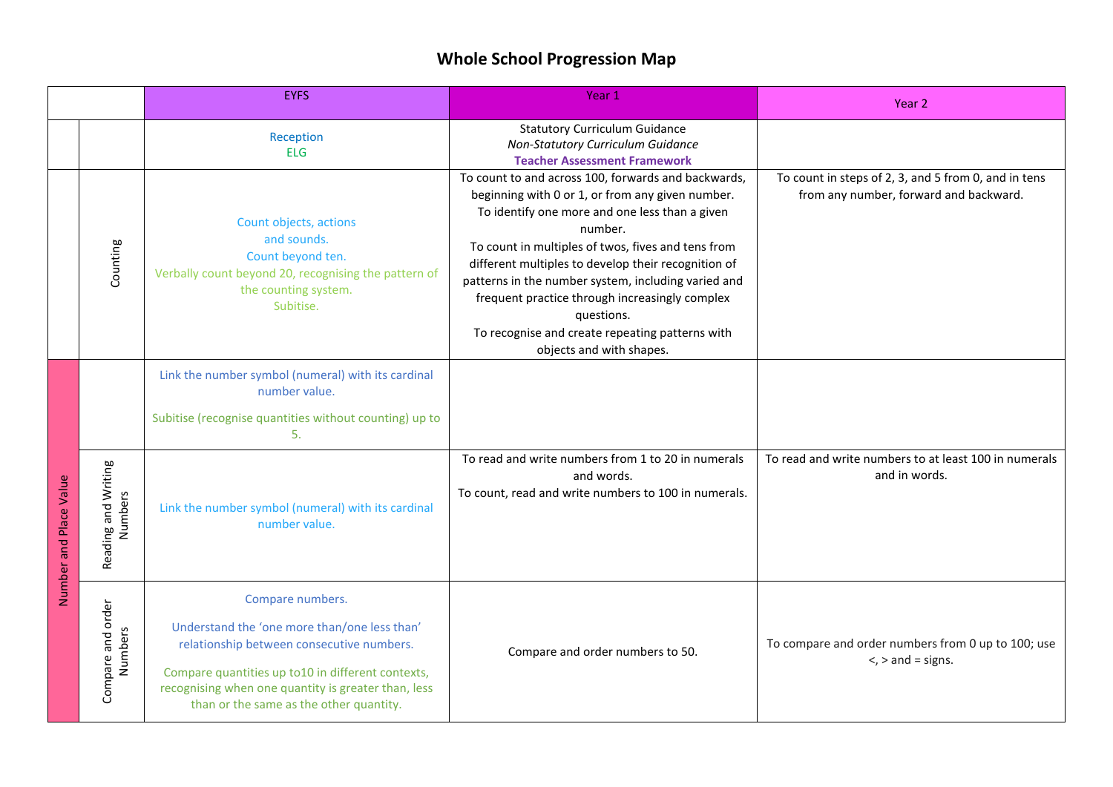# **Whole School Progression Map**

|                        |                                | <b>EYFS</b>                                                                                                                                                                                                                                                          | Year 1                                                                                                                                                                                                                                                                                                                                                                                                                                                                                  | Year 2                                                                                         |
|------------------------|--------------------------------|----------------------------------------------------------------------------------------------------------------------------------------------------------------------------------------------------------------------------------------------------------------------|-----------------------------------------------------------------------------------------------------------------------------------------------------------------------------------------------------------------------------------------------------------------------------------------------------------------------------------------------------------------------------------------------------------------------------------------------------------------------------------------|------------------------------------------------------------------------------------------------|
|                        |                                | Reception<br><b>ELG</b>                                                                                                                                                                                                                                              | <b>Statutory Curriculum Guidance</b><br>Non-Statutory Curriculum Guidance<br><b>Teacher Assessment Framework</b>                                                                                                                                                                                                                                                                                                                                                                        |                                                                                                |
|                        | Counting                       | Count objects, actions<br>and sounds.<br>Count beyond ten.<br>Verbally count beyond 20, recognising the pattern of<br>the counting system.<br>Subitise.                                                                                                              | To count to and across 100, forwards and backwards,<br>beginning with 0 or 1, or from any given number.<br>To identify one more and one less than a given<br>number.<br>To count in multiples of twos, fives and tens from<br>different multiples to develop their recognition of<br>patterns in the number system, including varied and<br>frequent practice through increasingly complex<br>questions.<br>To recognise and create repeating patterns with<br>objects and with shapes. | To count in steps of 2, 3, and 5 from 0, and in tens<br>from any number, forward and backward. |
|                        |                                | Link the number symbol (numeral) with its cardinal<br>number value.<br>Subitise (recognise quantities without counting) up to<br>5.                                                                                                                                  |                                                                                                                                                                                                                                                                                                                                                                                                                                                                                         |                                                                                                |
| Number and Place Value | Reading and Writing<br>Numbers | Link the number symbol (numeral) with its cardinal<br>number value.                                                                                                                                                                                                  | To read and write numbers from 1 to 20 in numerals<br>and words.<br>To count, read and write numbers to 100 in numerals.                                                                                                                                                                                                                                                                                                                                                                | To read and write numbers to at least 100 in numerals<br>and in words.                         |
|                        | Compare and order<br>Numbers   | Compare numbers.<br>Understand the 'one more than/one less than'<br>relationship between consecutive numbers.<br>Compare quantities up to10 in different contexts,<br>recognising when one quantity is greater than, less<br>than or the same as the other quantity. | Compare and order numbers to 50.                                                                                                                                                                                                                                                                                                                                                                                                                                                        | To compare and order numbers from 0 up to 100; use<br>$\le$ , $>$ and = signs.                 |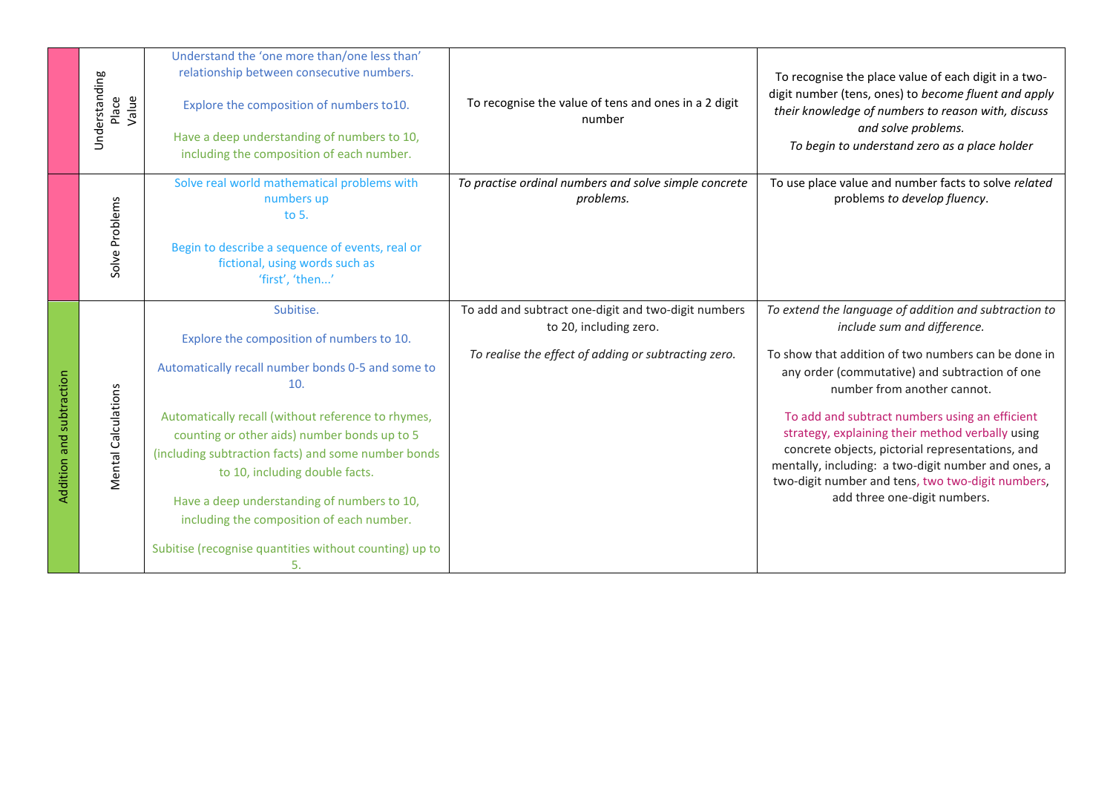|                          | Understanding<br>Value<br>Place | Understand the 'one more than/one less than'<br>relationship between consecutive numbers.<br>Explore the composition of numbers to10.<br>Have a deep understanding of numbers to 10,<br>including the composition of each number.                                                                                                                                                                                                                                             | To recognise the value of tens and ones in a 2 digit<br>number                                                                        | To recognise the place value of each digit in a two-<br>digit number (tens, ones) to become fluent and apply<br>their knowledge of numbers to reason with, discuss<br>and solve problems.<br>To begin to understand zero as a place holder                                                                                                                                                                                                                                                                                         |
|--------------------------|---------------------------------|-------------------------------------------------------------------------------------------------------------------------------------------------------------------------------------------------------------------------------------------------------------------------------------------------------------------------------------------------------------------------------------------------------------------------------------------------------------------------------|---------------------------------------------------------------------------------------------------------------------------------------|------------------------------------------------------------------------------------------------------------------------------------------------------------------------------------------------------------------------------------------------------------------------------------------------------------------------------------------------------------------------------------------------------------------------------------------------------------------------------------------------------------------------------------|
|                          | Solve Problems                  | Solve real world mathematical problems with<br>numbers up<br>to $5.$<br>Begin to describe a sequence of events, real or<br>fictional, using words such as<br>'first', 'then'                                                                                                                                                                                                                                                                                                  | To practise ordinal numbers and solve simple concrete<br>problems.                                                                    | To use place value and number facts to solve related<br>problems to develop fluency.                                                                                                                                                                                                                                                                                                                                                                                                                                               |
| Addition and subtraction | Mental Calculations             | Subitise.<br>Explore the composition of numbers to 10.<br>Automatically recall number bonds 0-5 and some to<br>10.<br>Automatically recall (without reference to rhymes,<br>counting or other aids) number bonds up to 5<br>(including subtraction facts) and some number bonds<br>to 10, including double facts.<br>Have a deep understanding of numbers to 10,<br>including the composition of each number.<br>Subitise (recognise quantities without counting) up to<br>5. | To add and subtract one-digit and two-digit numbers<br>to 20, including zero.<br>To realise the effect of adding or subtracting zero. | To extend the language of addition and subtraction to<br>include sum and difference.<br>To show that addition of two numbers can be done in<br>any order (commutative) and subtraction of one<br>number from another cannot.<br>To add and subtract numbers using an efficient<br>strategy, explaining their method verbally using<br>concrete objects, pictorial representations, and<br>mentally, including: a two-digit number and ones, a<br>two-digit number and tens, two two-digit numbers,<br>add three one-digit numbers. |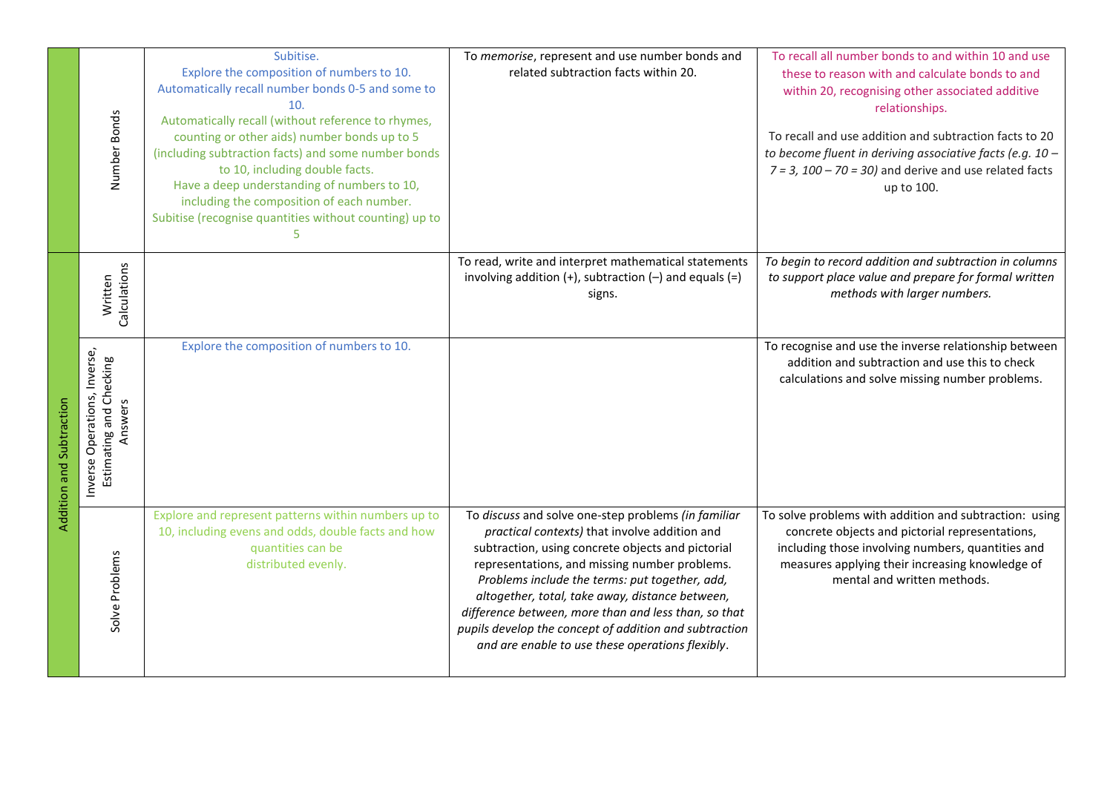|                          | Number Bonds                                                                                  | Subitise.<br>Explore the composition of numbers to 10.<br>Automatically recall number bonds 0-5 and some to<br>10.<br>Automatically recall (without reference to rhymes,<br>counting or other aids) number bonds up to 5<br>(including subtraction facts) and some number bonds<br>to 10, including double facts.<br>Have a deep understanding of numbers to 10,<br>including the composition of each number.<br>Subitise (recognise quantities without counting) up to<br>5 | To memorise, represent and use number bonds and<br>related subtraction facts within 20.                                                                                                                                                                                                                                                                                                                                                                                               | To recall all number bonds to and within 10 and use<br>these to reason with and calculate bonds to and<br>within 20, recognising other associated additive<br>relationships.<br>To recall and use addition and subtraction facts to 20<br>to become fluent in deriving associative facts (e.g. 10 -<br>$7 = 3$ , $100 - 70 = 30$ ) and derive and use related facts<br>up to 100. |
|--------------------------|-----------------------------------------------------------------------------------------------|------------------------------------------------------------------------------------------------------------------------------------------------------------------------------------------------------------------------------------------------------------------------------------------------------------------------------------------------------------------------------------------------------------------------------------------------------------------------------|---------------------------------------------------------------------------------------------------------------------------------------------------------------------------------------------------------------------------------------------------------------------------------------------------------------------------------------------------------------------------------------------------------------------------------------------------------------------------------------|-----------------------------------------------------------------------------------------------------------------------------------------------------------------------------------------------------------------------------------------------------------------------------------------------------------------------------------------------------------------------------------|
| Addition and Subtraction | Calculations<br>Written<br>Inverse Operations, Inverse,<br>Estimating and Checking<br>Answers | Explore the composition of numbers to 10.                                                                                                                                                                                                                                                                                                                                                                                                                                    | To read, write and interpret mathematical statements<br>involving addition $(+)$ , subtraction $(-)$ and equals $(=)$<br>signs.                                                                                                                                                                                                                                                                                                                                                       | To begin to record addition and subtraction in columns<br>to support place value and prepare for formal written<br>methods with larger numbers.<br>To recognise and use the inverse relationship between<br>addition and subtraction and use this to check<br>calculations and solve missing number problems.                                                                     |
|                          | Solve Problems                                                                                | Explore and represent patterns within numbers up to<br>10, including evens and odds, double facts and how<br>quantities can be<br>distributed evenly.                                                                                                                                                                                                                                                                                                                        | To discuss and solve one-step problems (in familiar<br>practical contexts) that involve addition and<br>subtraction, using concrete objects and pictorial<br>representations, and missing number problems.<br>Problems include the terms: put together, add,<br>altogether, total, take away, distance between,<br>difference between, more than and less than, so that<br>pupils develop the concept of addition and subtraction<br>and are enable to use these operations flexibly. | To solve problems with addition and subtraction: using<br>concrete objects and pictorial representations,<br>including those involving numbers, quantities and<br>measures applying their increasing knowledge of<br>mental and written methods.                                                                                                                                  |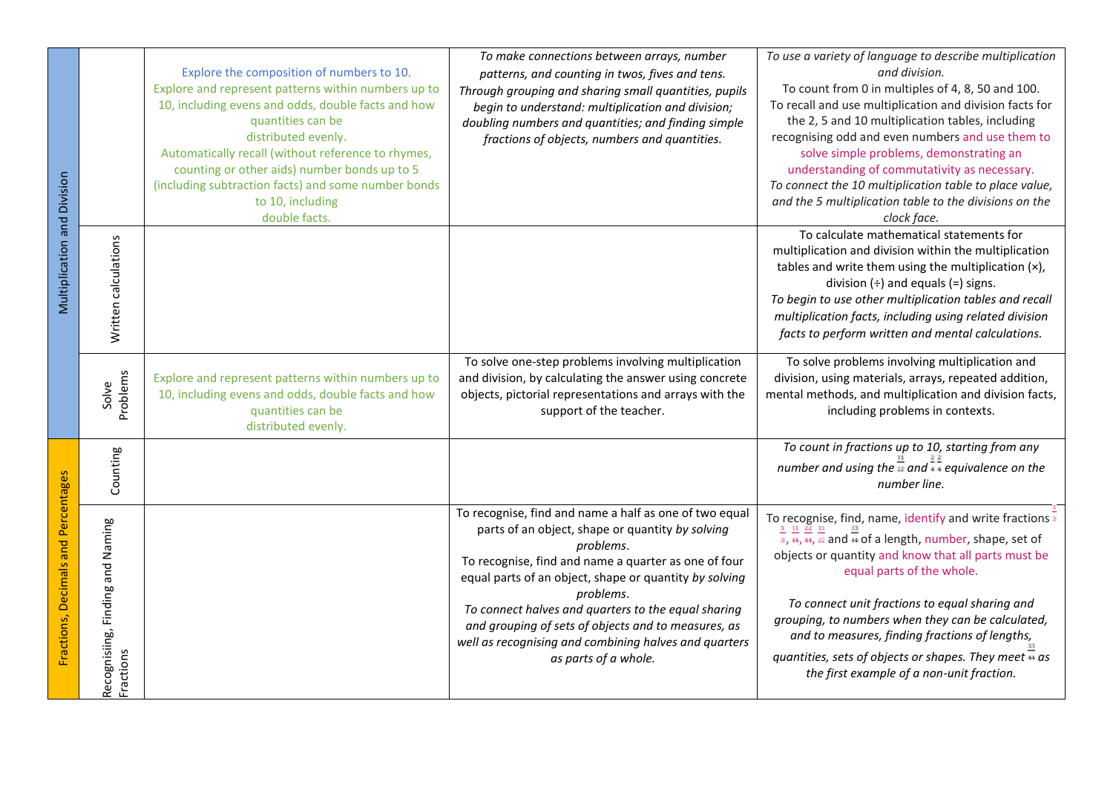|                                     |                                               | Explore the composition of numbers to 10.<br>Explore and represent patterns within numbers up to<br>10, including evens and odds, double facts and how<br>quantities can be<br>distributed evenly.<br>Automatically recall (without reference to rhymes,<br>counting or other aids) number bonds up to 5<br>(including subtraction facts) and some number bonds<br>to 10, including<br>double facts. | To make connections between arrays, number<br>patterns, and counting in twos, fives and tens.<br>Through grouping and sharing small quantities, pupils<br>begin to understand: multiplication and division;<br>doubling numbers and quantities; and finding simple<br>fractions of objects, numbers and quantities.                                                                                                                                   | To use a variety of language to describe multiplication<br>and division.<br>To count from 0 in multiples of 4, 8, 50 and 100.<br>To recall and use multiplication and division facts for<br>the 2, 5 and 10 multiplication tables, including<br>recognising odd and even numbers and use them to<br>solve simple problems, demonstrating an<br>understanding of commutativity as necessary.<br>To connect the 10 multiplication table to place value,<br>and the 5 multiplication table to the divisions on the<br>clock face.                        |
|-------------------------------------|-----------------------------------------------|------------------------------------------------------------------------------------------------------------------------------------------------------------------------------------------------------------------------------------------------------------------------------------------------------------------------------------------------------------------------------------------------------|-------------------------------------------------------------------------------------------------------------------------------------------------------------------------------------------------------------------------------------------------------------------------------------------------------------------------------------------------------------------------------------------------------------------------------------------------------|-------------------------------------------------------------------------------------------------------------------------------------------------------------------------------------------------------------------------------------------------------------------------------------------------------------------------------------------------------------------------------------------------------------------------------------------------------------------------------------------------------------------------------------------------------|
| Multiplication and Division         | Written calculations                          |                                                                                                                                                                                                                                                                                                                                                                                                      |                                                                                                                                                                                                                                                                                                                                                                                                                                                       | To calculate mathematical statements for<br>multiplication and division within the multiplication<br>tables and write them using the multiplication (x),<br>division $(\div)$ and equals $(=)$ signs.<br>To begin to use other multiplication tables and recall<br>multiplication facts, including using related division<br>facts to perform written and mental calculations.                                                                                                                                                                        |
|                                     | Problems<br>Solve                             | Explore and represent patterns within numbers up to<br>10, including evens and odds, double facts and how<br>quantities can be<br>distributed evenly.                                                                                                                                                                                                                                                | To solve one-step problems involving multiplication<br>and division, by calculating the answer using concrete<br>objects, pictorial representations and arrays with the<br>support of the teacher.                                                                                                                                                                                                                                                    | To solve problems involving multiplication and<br>division, using materials, arrays, repeated addition,<br>mental methods, and multiplication and division facts,<br>including problems in contexts.                                                                                                                                                                                                                                                                                                                                                  |
|                                     | Counting                                      |                                                                                                                                                                                                                                                                                                                                                                                                      |                                                                                                                                                                                                                                                                                                                                                                                                                                                       | To count in fractions up to 10, starting from any<br>number and using the $\frac{1}{22}$ and $\frac{1}{2}$ equivalence on the<br>number line.                                                                                                                                                                                                                                                                                                                                                                                                         |
| Fractions, Decimals and Percentages | Recognisiing, Finding and Naming<br>Fractions |                                                                                                                                                                                                                                                                                                                                                                                                      | To recognise, find and name a half as one of two equal<br>parts of an object, shape or quantity by solving<br>problems.<br>To recognise, find and name a quarter as one of four<br>equal parts of an object, shape or quantity by solving<br>problems.<br>To connect halves and quarters to the equal sharing<br>and grouping of sets of objects and to measures, as<br>well as recognising and combining halves and quarters<br>as parts of a whole. | To recognise, find, name, identify and write fractions $\frac{1}{3}$<br>$\frac{1}{3}$ , $\frac{1}{4}$ , $\frac{1}{42}$ and $\frac{1}{44}$ of a length, number, shape, set of<br>objects or quantity and know that all parts must be<br>equal parts of the whole.<br>To connect unit fractions to equal sharing and<br>grouping, to numbers when they can be calculated,<br>and to measures, finding fractions of lengths,<br>quantities, sets of objects or shapes. They meet $\overline{\textbf{u}}$ as<br>the first example of a non-unit fraction. |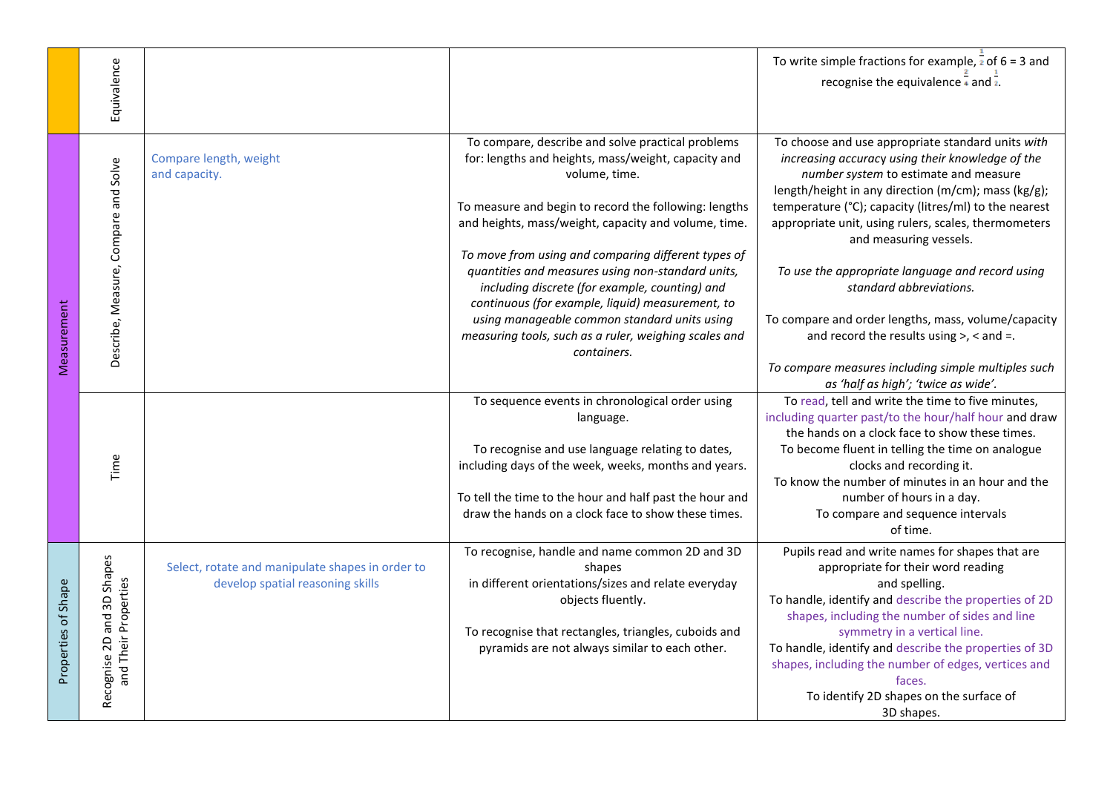|                     | Equivalence                                        |                                                                                      |                                                                                                                                                                                                                                                                                                   | To write simple fractions for example, $\frac{1}{2}$ of 6 = 3 and<br>recognise the equivalence $\frac{1}{4}$ and $\frac{1}{2}$ .                                                                                                                                                                                                                                                                                                     |
|---------------------|----------------------------------------------------|--------------------------------------------------------------------------------------|---------------------------------------------------------------------------------------------------------------------------------------------------------------------------------------------------------------------------------------------------------------------------------------------------|--------------------------------------------------------------------------------------------------------------------------------------------------------------------------------------------------------------------------------------------------------------------------------------------------------------------------------------------------------------------------------------------------------------------------------------|
|                     | Describe, Measure, Compare and Solve               | Compare length, weight<br>and capacity.                                              | To compare, describe and solve practical problems<br>for: lengths and heights, mass/weight, capacity and<br>volume, time.<br>To measure and begin to record the following: lengths<br>and heights, mass/weight, capacity and volume, time.<br>To move from using and comparing different types of | To choose and use appropriate standard units with<br>increasing accuracy using their knowledge of the<br>number system to estimate and measure<br>length/height in any direction (m/cm); mass (kg/g);<br>temperature (°C); capacity (litres/ml) to the nearest<br>appropriate unit, using rulers, scales, thermometers<br>and measuring vessels.                                                                                     |
| Measurement         |                                                    |                                                                                      | quantities and measures using non-standard units,<br>including discrete (for example, counting) and<br>continuous (for example, liquid) measurement, to<br>using manageable common standard units using<br>measuring tools, such as a ruler, weighing scales and<br>containers.                   | To use the appropriate language and record using<br>standard abbreviations.<br>To compare and order lengths, mass, volume/capacity<br>and record the results using $>$ , $<$ and $=$ .<br>To compare measures including simple multiples such<br>as 'half as high'; 'twice as wide'.                                                                                                                                                 |
|                     | Time                                               |                                                                                      | To sequence events in chronological order using<br>language.<br>To recognise and use language relating to dates,<br>including days of the week, weeks, months and years.<br>To tell the time to the hour and half past the hour and<br>draw the hands on a clock face to show these times.        | To read, tell and write the time to five minutes,<br>including quarter past/to the hour/half hour and draw<br>the hands on a clock face to show these times.<br>To become fluent in telling the time on analogue<br>clocks and recording it.<br>To know the number of minutes in an hour and the<br>number of hours in a day.<br>To compare and sequence intervals<br>of time.                                                       |
| Properties of Shape | Recognise 2D and 3D Shapes<br>and Their Properties | Select, rotate and manipulate shapes in order to<br>develop spatial reasoning skills | To recognise, handle and name common 2D and 3D<br>shapes<br>in different orientations/sizes and relate everyday<br>objects fluently.<br>To recognise that rectangles, triangles, cuboids and<br>pyramids are not always similar to each other.                                                    | Pupils read and write names for shapes that are<br>appropriate for their word reading<br>and spelling.<br>To handle, identify and describe the properties of 2D<br>shapes, including the number of sides and line<br>symmetry in a vertical line.<br>To handle, identify and describe the properties of 3D<br>shapes, including the number of edges, vertices and<br>faces.<br>To identify 2D shapes on the surface of<br>3D shapes. |